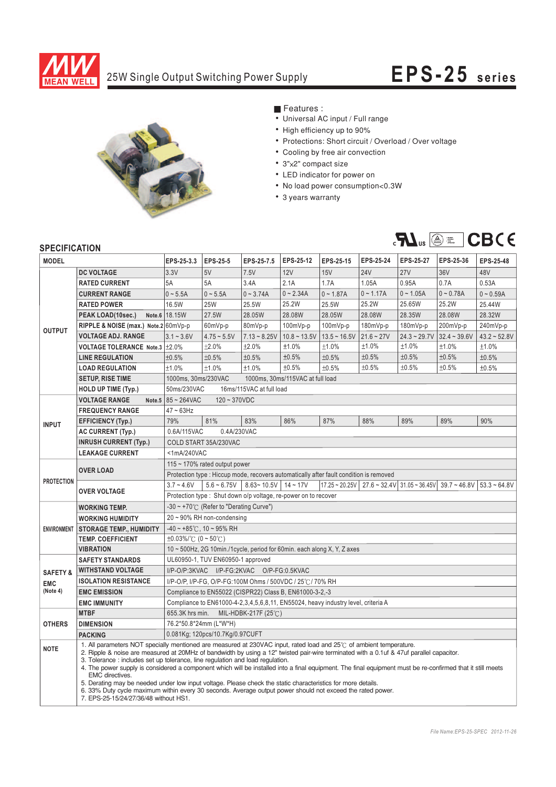

## 25W Single Output Switching Power Supply **EPS-2 5 s eries**



■ Features :

- Universal AC input / Full range
- High efficiency up to 90%
- Protections: Short circuit / Overload / Over voltage
- Cooling by free air convection
- 3"x2" compact size
- ¡E¡E¡E¡E¡E¡E¡E LED indicator for power on
- No load power consumption<0.3W
- 3 years warranty



## **SPECIFICATION**

| <b>MODEL</b>                                  |                                                                                                                                                                                                                                                                                                                                                                                                                                                                                                                                                                                                                                                                                                                                                                                                           | EPS-25-3.3                                                                                                                                                                    | EPS-25-5                                                                               | EPS-25-7.5     | EPS-25-12      | EPS-25-15      | EPS-25-24    | EPS-25-27      | EPS-25-36      | EPS-25-48         |
|-----------------------------------------------|-----------------------------------------------------------------------------------------------------------------------------------------------------------------------------------------------------------------------------------------------------------------------------------------------------------------------------------------------------------------------------------------------------------------------------------------------------------------------------------------------------------------------------------------------------------------------------------------------------------------------------------------------------------------------------------------------------------------------------------------------------------------------------------------------------------|-------------------------------------------------------------------------------------------------------------------------------------------------------------------------------|----------------------------------------------------------------------------------------|----------------|----------------|----------------|--------------|----------------|----------------|-------------------|
| <b>OUTPUT</b>                                 | <b>DC VOLTAGE</b>                                                                                                                                                                                                                                                                                                                                                                                                                                                                                                                                                                                                                                                                                                                                                                                         | 3.3V                                                                                                                                                                          | 5V                                                                                     | 7.5V           | <b>12V</b>     | <b>15V</b>     | <b>24V</b>   | <b>27V</b>     | 36V            | 48V               |
|                                               | <b>RATED CURRENT</b>                                                                                                                                                                                                                                                                                                                                                                                                                                                                                                                                                                                                                                                                                                                                                                                      | 5A                                                                                                                                                                            | 5A                                                                                     | 3.4A           | 2.1A           | 1.7A           | 1.05A        | 0.95A          | 0.7A           | 0.53A             |
|                                               | <b>CURRENT RANGE</b>                                                                                                                                                                                                                                                                                                                                                                                                                                                                                                                                                                                                                                                                                                                                                                                      | $0 - 5.5A$                                                                                                                                                                    | $0 - 5.5A$                                                                             | $0 - 3.74A$    | $0 - 2.34A$    | $0 - 1.87A$    | $0 - 1.17A$  | $0 - 1.05A$    | $0 - 0.78A$    | $0 - 0.59A$       |
|                                               | <b>RATED POWER</b>                                                                                                                                                                                                                                                                                                                                                                                                                                                                                                                                                                                                                                                                                                                                                                                        | 16.5W                                                                                                                                                                         | <b>25W</b>                                                                             | 25.5W          | 25.2W          | 25.5W          | 25.2W        | 25.65W         | 25.2W          | 25.44W            |
|                                               | PEAK LOAD(10sec.)                                                                                                                                                                                                                                                                                                                                                                                                                                                                                                                                                                                                                                                                                                                                                                                         | Note.6 18.15W                                                                                                                                                                 | 27.5W                                                                                  | 28.05W         | 28.08W         | 28.05W         | 28.08W       | 28.35W         | 28.08W         | 28.32W            |
|                                               | RIPPLE & NOISE (max.) Note.2 60mVp-p                                                                                                                                                                                                                                                                                                                                                                                                                                                                                                                                                                                                                                                                                                                                                                      |                                                                                                                                                                               | 60mVp-p                                                                                | 80mVp-p        | 100mVp-p       | $100mVp-p$     | $180mVp-p$   | 180mVp-p       | 200mVp-p       | 240mVp-p          |
|                                               | <b>VOLTAGE ADJ. RANGE</b>                                                                                                                                                                                                                                                                                                                                                                                                                                                                                                                                                                                                                                                                                                                                                                                 | $3.1 - 3.6V$                                                                                                                                                                  | $4.75 - 5.5V$                                                                          | $7.13 - 8.25V$ | $10.8 - 13.5V$ | $13.5 - 16.5V$ | $21.6 - 27V$ | $24.3 - 29.7V$ | $32.4 - 39.6V$ | $43.2 \sim 52.8V$ |
|                                               | VOLTAGE TOLERANCE Note.3 ±2.0%                                                                                                                                                                                                                                                                                                                                                                                                                                                                                                                                                                                                                                                                                                                                                                            |                                                                                                                                                                               | ±2.0%                                                                                  | ±2.0%          | ±1.0%          | ±1.0%          | ±1.0%        | ±1.0%          | ±1.0%          | ±1.0%             |
|                                               | <b>LINE REGULATION</b>                                                                                                                                                                                                                                                                                                                                                                                                                                                                                                                                                                                                                                                                                                                                                                                    | ±0.5%                                                                                                                                                                         | ±0.5%                                                                                  | ±0.5%          | ±0.5%          | ±0.5%          | ±0.5%        | ±0.5%          | ±0.5%          | ±0.5%             |
|                                               | <b>LOAD REGULATION</b>                                                                                                                                                                                                                                                                                                                                                                                                                                                                                                                                                                                                                                                                                                                                                                                    | ±1.0%                                                                                                                                                                         | ±1.0%                                                                                  | ±1.0%          | ±0.5%          | ±0.5%          | ±0.5%        | ±0.5%          | ±0.5%          | ±0.5%             |
|                                               | <b>SETUP, RISE TIME</b>                                                                                                                                                                                                                                                                                                                                                                                                                                                                                                                                                                                                                                                                                                                                                                                   | 1000ms, 30ms/230VAC<br>1000ms, 30ms/115VAC at full load                                                                                                                       |                                                                                        |                |                |                |              |                |                |                   |
|                                               | <b>HOLD UP TIME (Typ.)</b>                                                                                                                                                                                                                                                                                                                                                                                                                                                                                                                                                                                                                                                                                                                                                                                | 50ms/230VAC<br>16ms/115VAC at full load                                                                                                                                       |                                                                                        |                |                |                |              |                |                |                   |
| <b>INPUT</b>                                  | <b>VOLTAGE RANGE</b>                                                                                                                                                                                                                                                                                                                                                                                                                                                                                                                                                                                                                                                                                                                                                                                      | Note.5 $85 - 264$ VAC<br>$120 - 370VDC$                                                                                                                                       |                                                                                        |                |                |                |              |                |                |                   |
|                                               | <b>FREQUENCY RANGE</b>                                                                                                                                                                                                                                                                                                                                                                                                                                                                                                                                                                                                                                                                                                                                                                                    | $47 \sim 63$ Hz                                                                                                                                                               |                                                                                        |                |                |                |              |                |                |                   |
|                                               | <b>EFFICIENCY (Typ.)</b>                                                                                                                                                                                                                                                                                                                                                                                                                                                                                                                                                                                                                                                                                                                                                                                  | 79%                                                                                                                                                                           | 81%                                                                                    | 83%            | 86%            | 87%            | 88%          | 89%            | 89%            | 90%               |
|                                               | <b>AC CURRENT (Typ.)</b>                                                                                                                                                                                                                                                                                                                                                                                                                                                                                                                                                                                                                                                                                                                                                                                  | 0.6A/115VAC<br>0.4A/230VAC                                                                                                                                                    |                                                                                        |                |                |                |              |                |                |                   |
|                                               | <b>INRUSH CURRENT (Typ.)</b>                                                                                                                                                                                                                                                                                                                                                                                                                                                                                                                                                                                                                                                                                                                                                                              | COLD START 35A/230VAC                                                                                                                                                         |                                                                                        |                |                |                |              |                |                |                   |
|                                               | <b>LEAKAGE CURRENT</b>                                                                                                                                                                                                                                                                                                                                                                                                                                                                                                                                                                                                                                                                                                                                                                                    | <1mA/240VAC                                                                                                                                                                   |                                                                                        |                |                |                |              |                |                |                   |
| <b>PROTECTION</b>                             | <b>OVER LOAD</b>                                                                                                                                                                                                                                                                                                                                                                                                                                                                                                                                                                                                                                                                                                                                                                                          | 115 $\sim$ 170% rated output power                                                                                                                                            |                                                                                        |                |                |                |              |                |                |                   |
|                                               |                                                                                                                                                                                                                                                                                                                                                                                                                                                                                                                                                                                                                                                                                                                                                                                                           |                                                                                                                                                                               | Protection type : Hiccup mode, recovers automatically after fault condition is removed |                |                |                |              |                |                |                   |
|                                               | <b>OVER VOLTAGE</b>                                                                                                                                                                                                                                                                                                                                                                                                                                                                                                                                                                                                                                                                                                                                                                                       | $5.6 - 6.75V$<br>$8.63 - 10.5V$ 14 ~ 17V<br>$17.25 \approx 20.25V$   27.6 $\approx 32.4V$   31.05 $\approx 36.45V$   39.7 $\approx 46.8V$  <br>$3.7 - 4.6V$<br>$53.3 - 64.8V$ |                                                                                        |                |                |                |              |                |                |                   |
|                                               |                                                                                                                                                                                                                                                                                                                                                                                                                                                                                                                                                                                                                                                                                                                                                                                                           | Protection type: Shut down o/p voltage, re-power on to recover                                                                                                                |                                                                                        |                |                |                |              |                |                |                   |
| <b>ENVIRONMENT</b>                            | <b>WORKING TEMP.</b>                                                                                                                                                                                                                                                                                                                                                                                                                                                                                                                                                                                                                                                                                                                                                                                      | $-30 \sim +70^{\circ}$ (Refer to "Derating Curve")                                                                                                                            |                                                                                        |                |                |                |              |                |                |                   |
|                                               | <b>WORKING HUMIDITY</b>                                                                                                                                                                                                                                                                                                                                                                                                                                                                                                                                                                                                                                                                                                                                                                                   | $20 \sim 90\%$ RH non-condensing                                                                                                                                              |                                                                                        |                |                |                |              |                |                |                   |
|                                               | <b>STORAGE TEMP., HUMIDITY</b>                                                                                                                                                                                                                                                                                                                                                                                                                                                                                                                                                                                                                                                                                                                                                                            | $-40 \sim +85^{\circ}$ C, 10 ~ 95% RH                                                                                                                                         |                                                                                        |                |                |                |              |                |                |                   |
|                                               | <b>TEMP. COEFFICIENT</b>                                                                                                                                                                                                                                                                                                                                                                                                                                                                                                                                                                                                                                                                                                                                                                                  | $\pm 0.03\%$ (°C (0 ~ 50°C)                                                                                                                                                   |                                                                                        |                |                |                |              |                |                |                   |
|                                               | <b>VIBRATION</b>                                                                                                                                                                                                                                                                                                                                                                                                                                                                                                                                                                                                                                                                                                                                                                                          | 10 ~ 500Hz, 2G 10min./1cycle, period for 60min. each along X, Y, Z axes                                                                                                       |                                                                                        |                |                |                |              |                |                |                   |
|                                               | <b>SAFETY STANDARDS</b>                                                                                                                                                                                                                                                                                                                                                                                                                                                                                                                                                                                                                                                                                                                                                                                   | UL60950-1, TUV EN60950-1 approved                                                                                                                                             |                                                                                        |                |                |                |              |                |                |                   |
| <b>SAFETY &amp;</b><br><b>EMC</b><br>(Note 4) | <b>WITHSTAND VOLTAGE</b>                                                                                                                                                                                                                                                                                                                                                                                                                                                                                                                                                                                                                                                                                                                                                                                  | I/P-O/P:3KVAC I/P-FG:2KVAC O/P-FG:0.5KVAC                                                                                                                                     |                                                                                        |                |                |                |              |                |                |                   |
|                                               | <b>ISOLATION RESISTANCE</b>                                                                                                                                                                                                                                                                                                                                                                                                                                                                                                                                                                                                                                                                                                                                                                               | I/P-O/P, I/P-FG, O/P-FG:100M Ohms / 500VDC / 25°C / 70% RH                                                                                                                    |                                                                                        |                |                |                |              |                |                |                   |
|                                               | <b>EMC EMISSION</b>                                                                                                                                                                                                                                                                                                                                                                                                                                                                                                                                                                                                                                                                                                                                                                                       | Compliance to EN55022 (CISPR22) Class B, EN61000-3-2,-3                                                                                                                       |                                                                                        |                |                |                |              |                |                |                   |
|                                               | <b>EMC IMMUNITY</b>                                                                                                                                                                                                                                                                                                                                                                                                                                                                                                                                                                                                                                                                                                                                                                                       | Compliance to EN61000-4-2,3,4,5,6,8,11, EN55024, heavy industry level, criteria A                                                                                             |                                                                                        |                |                |                |              |                |                |                   |
| <b>OTHERS</b>                                 | <b>MTBF</b>                                                                                                                                                                                                                                                                                                                                                                                                                                                                                                                                                                                                                                                                                                                                                                                               | 655.3K hrs min.<br>MIL-HDBK-217F $(25^{\circ}$ C)                                                                                                                             |                                                                                        |                |                |                |              |                |                |                   |
|                                               | <b>DIMENSION</b>                                                                                                                                                                                                                                                                                                                                                                                                                                                                                                                                                                                                                                                                                                                                                                                          | 76.2*50.8*24mm (L*W*H)                                                                                                                                                        |                                                                                        |                |                |                |              |                |                |                   |
|                                               | <b>PACKING</b>                                                                                                                                                                                                                                                                                                                                                                                                                                                                                                                                                                                                                                                                                                                                                                                            | 0.081Kg; 120pcs/10.7Kg/0.97CUFT                                                                                                                                               |                                                                                        |                |                |                |              |                |                |                   |
| <b>NOTE</b>                                   | 1. All parameters NOT specially mentioned are measured at 230VAC input, rated load and 25°C of ambient temperature.<br>2. Ripple & noise are measured at 20MHz of bandwidth by using a 12" twisted pair-wire terminated with a 0.1uf & 47uf parallel capacitor.<br>3. Tolerance : includes set up tolerance, line regulation and load regulation.<br>4. The power supply is considered a component which will be installed into a final equipment. The final equipment must be re-confirmed that it still meets<br>EMC directives.<br>5. Derating may be needed under low input voltage. Please check the static characteristics for more details.<br>6. 33% Duty cycle maximum within every 30 seconds. Average output power should not exceed the rated power.<br>7. EPS-25-15/24/27/36/48 without HS1. |                                                                                                                                                                               |                                                                                        |                |                |                |              |                |                |                   |
|                                               |                                                                                                                                                                                                                                                                                                                                                                                                                                                                                                                                                                                                                                                                                                                                                                                                           |                                                                                                                                                                               |                                                                                        |                |                |                |              |                |                |                   |